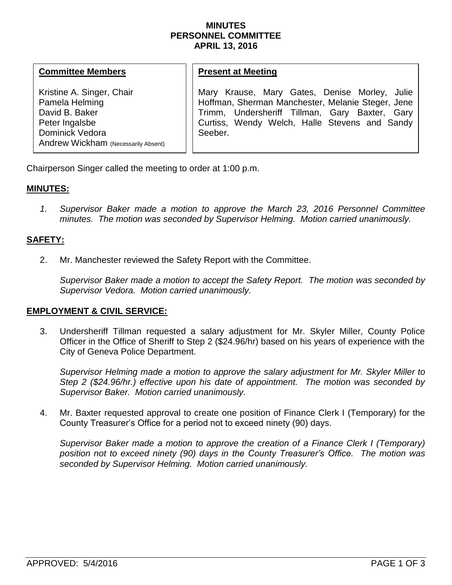### **MINUTES PERSONNEL COMMITTEE APRIL 13, 2016**

### **Committee Members**

Kristine A. Singer, Chair Pamela Helming David B. Baker Peter Ingalsbe Dominick Vedora Andrew Wickham (Necessarily Absent)

#### **Present at Meeting**

Mary Krause, Mary Gates, Denise Morley, Julie Hoffman, Sherman Manchester, Melanie Steger, Jene Trimm, Undersheriff Tillman, Gary Baxter, Gary Curtiss, Wendy Welch, Halle Stevens and Sandy Seeber.

Chairperson Singer called the meeting to order at 1:00 p.m.

## **MINUTES:**

*1. Supervisor Baker made a motion to approve the March 23, 2016 Personnel Committee minutes. The motion was seconded by Supervisor Helming. Motion carried unanimously.*

# **SAFETY:**

2. Mr. Manchester reviewed the Safety Report with the Committee.

*Supervisor Baker made a motion to accept the Safety Report. The motion was seconded by Supervisor Vedora. Motion carried unanimously.* 

## **EMPLOYMENT & CIVIL SERVICE:**

3. Undersheriff Tillman requested a salary adjustment for Mr. Skyler Miller, County Police Officer in the Office of Sheriff to Step 2 (\$24.96/hr) based on his years of experience with the City of Geneva Police Department.

*Supervisor Helming made a motion to approve the salary adjustment for Mr. Skyler Miller to Step 2 (\$24.96/hr.) effective upon his date of appointment. The motion was seconded by Supervisor Baker. Motion carried unanimously.* 

4. Mr. Baxter requested approval to create one position of Finance Clerk I (Temporary) for the County Treasurer's Office for a period not to exceed ninety (90) days.

*Supervisor Baker made a motion to approve the creation of a Finance Clerk I (Temporary) position not to exceed ninety (90) days in the County Treasurer's Office. The motion was seconded by Supervisor Helming. Motion carried unanimously.*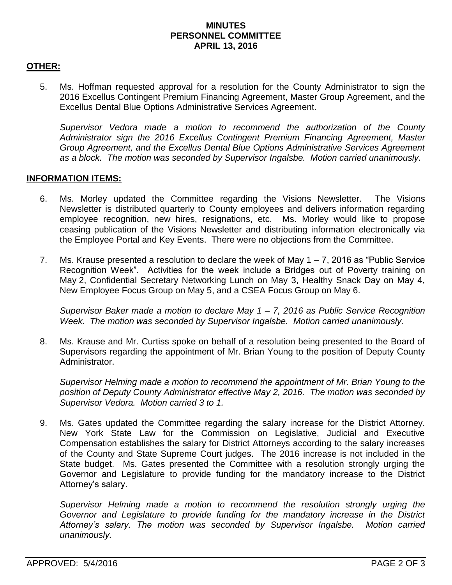## **MINUTES PERSONNEL COMMITTEE APRIL 13, 2016**

# **OTHER:**

5. Ms. Hoffman requested approval for a resolution for the County Administrator to sign the 2016 Excellus Contingent Premium Financing Agreement, Master Group Agreement, and the Excellus Dental Blue Options Administrative Services Agreement.

*Supervisor Vedora made a motion to recommend the authorization of the County Administrator sign the 2016 Excellus Contingent Premium Financing Agreement, Master Group Agreement, and the Excellus Dental Blue Options Administrative Services Agreement as a block. The motion was seconded by Supervisor Ingalsbe. Motion carried unanimously.*

## **INFORMATION ITEMS:**

- 6. Ms. Morley updated the Committee regarding the Visions Newsletter. The Visions Newsletter is distributed quarterly to County employees and delivers information regarding employee recognition, new hires, resignations, etc. Ms. Morley would like to propose ceasing publication of the Visions Newsletter and distributing information electronically via the Employee Portal and Key Events. There were no objections from the Committee.
- 7. Ms. Krause presented a resolution to declare the week of May  $1 7$ , 2016 as "Public Service" Recognition Week". Activities for the week include a Bridges out of Poverty training on May 2, Confidential Secretary Networking Lunch on May 3, Healthy Snack Day on May 4, New Employee Focus Group on May 5, and a CSEA Focus Group on May 6.

*Supervisor Baker made a motion to declare May 1 – 7, 2016 as Public Service Recognition Week. The motion was seconded by Supervisor Ingalsbe. Motion carried unanimously.* 

8. Ms. Krause and Mr. Curtiss spoke on behalf of a resolution being presented to the Board of Supervisors regarding the appointment of Mr. Brian Young to the position of Deputy County Administrator.

*Supervisor Helming made a motion to recommend the appointment of Mr. Brian Young to the position of Deputy County Administrator effective May 2, 2016. The motion was seconded by Supervisor Vedora. Motion carried 3 to 1.* 

9. Ms. Gates updated the Committee regarding the salary increase for the District Attorney. New York State Law for the Commission on Legislative, Judicial and Executive Compensation establishes the salary for District Attorneys according to the salary increases of the County and State Supreme Court judges. The 2016 increase is not included in the State budget. Ms. Gates presented the Committee with a resolution strongly urging the Governor and Legislature to provide funding for the mandatory increase to the District Attorney's salary.

*Supervisor Helming made a motion to recommend the resolution strongly urging the Governor and Legislature to provide funding for the mandatory increase in the District Attorney's salary. The motion was seconded by Supervisor Ingalsbe. Motion carried unanimously.*